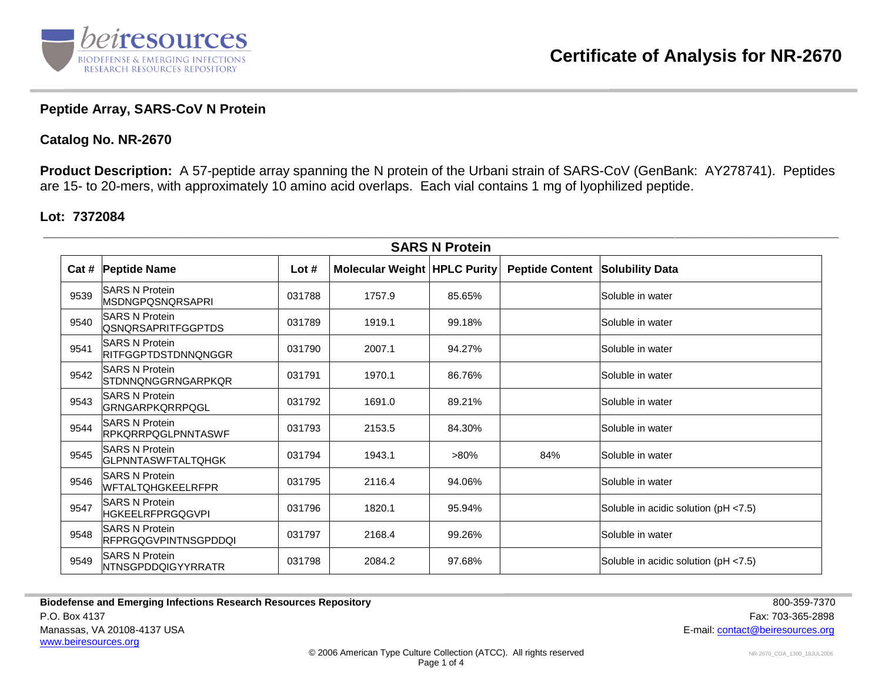

## **Peptide Array, SARS-CoV N Protein**

## **Catalog No. NR-2670**

**Product Description:** A 57-peptide array spanning the N protein of the Urbani strain of SARS-CoV (GenBank: AY278741). Peptides are 15- to 20-mers, with approximately 10 amino acid overlaps. Each vial contains 1 mg of lyophilized peptide.

## **Lot: 7372084**

| <b>SARS N Protein</b> |                                                       |         |                                |         |                        |                                      |  |
|-----------------------|-------------------------------------------------------|---------|--------------------------------|---------|------------------------|--------------------------------------|--|
| Cat #                 | <b>Peptide Name</b>                                   | Lot $#$ | Molecular Weight   HPLC Purity |         | <b>Peptide Content</b> | <b>Solubility Data</b>               |  |
| 9539                  | <b>ISARS N Protein</b><br>IMSDNGPQSNQRSAPRI           | 031788  | 1757.9                         | 85.65%  |                        | lSoluble in water                    |  |
| 9540                  | <b>ISARS N Protein</b><br><b>QSNQRSAPRITFGGPTDS</b>   | 031789  | 1919.1                         | 99.18%  |                        | Soluble in water                     |  |
| 9541                  | <b>SARS N Protein</b><br><b>RITFGGPTDSTDNNQNGGR</b>   | 031790  | 2007.1                         | 94.27%  |                        | lSoluble in water                    |  |
| 9542                  | <b>SARS N Protein</b><br>STDNNQNGGRNGARPKQR           | 031791  | 1970.1                         | 86.76%  |                        | lSoluble in water                    |  |
| 9543                  | <b>SARS N Protein</b><br><b>GRNGARPKQRRPQGL</b>       | 031792  | 1691.0                         | 89.21%  |                        | Soluble in water                     |  |
| 9544                  | <b>SARS N Protein</b><br><b>IRPKQRRPQGLPNNTASWF</b>   | 031793  | 2153.5                         | 84.30%  |                        | lSoluble in water                    |  |
| 9545                  | <b>ISARS N Protein</b><br><b>IGLPNNTASWFTALTQHGK</b>  | 031794  | 1943.1                         | $>80\%$ | 84%                    | lSoluble in water                    |  |
| 9546                  | <b>ISARS N Protein</b><br>WFTALTQHGKEELRFPR           | 031795  | 2116.4                         | 94.06%  |                        | Soluble in water                     |  |
| 9547                  | <b>ISARS N Protein</b><br> HGKEELRFPRGQGVPI           | 031796  | 1820.1                         | 95.94%  |                        | Soluble in acidic solution (pH <7.5) |  |
| 9548                  | <b>SARS N Protein</b><br><b>IRFPRGQGVPINTNSGPDDQI</b> | 031797  | 2168.4                         | 99.26%  |                        | Soluble in water                     |  |
| 9549                  | <b>SARS N Protein</b><br><b>NTNSGPDDQIGYYRRATR</b>    | 031798  | 2084.2                         | 97.68%  |                        | Soluble in acidic solution (pH <7.5) |  |

**Biodefense and Emerging Infections Research Resources Repository <b>800-359-7370** 800-359-7370 P.O. Box 4137 Fax: 703-365-2898 Manassas, VA 20108-4137 USA E-mail: [contact@beiresources.org](mailto:contact@beiresources.org) [www.beiresources.org](http://www.beiresources.org/)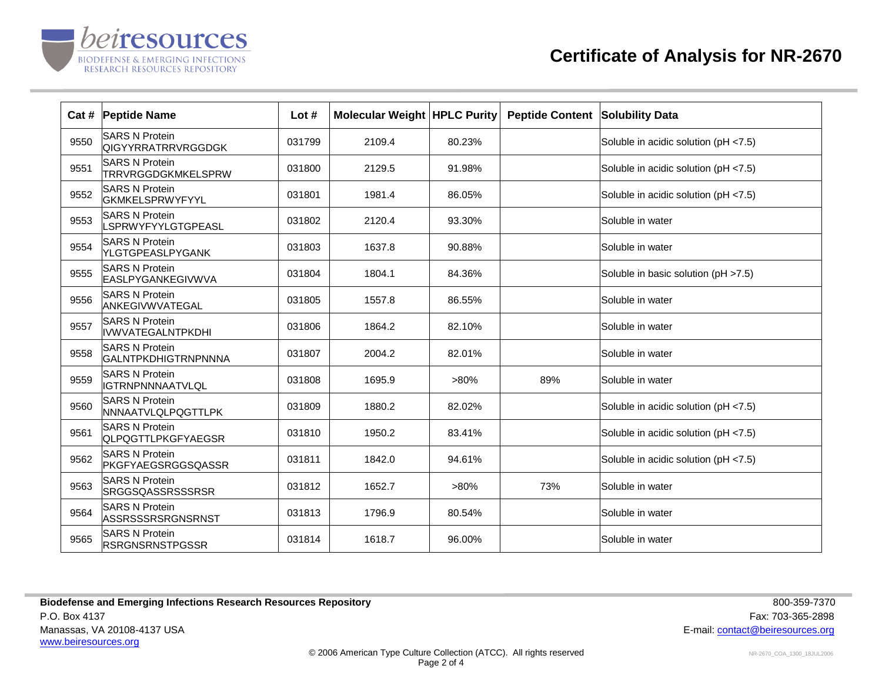

|      | Cat # Peptide Name                                 | Lot $#$ | <b>Molecular Weight HPLC Purity</b> |         | <b>Peptide Content</b> | <b>Solubility Data</b>               |
|------|----------------------------------------------------|---------|-------------------------------------|---------|------------------------|--------------------------------------|
| 9550 | <b>SARS N Protein</b><br>QIGYYRRATRRVRGGDGK        | 031799  | 2109.4                              | 80.23%  |                        | Soluble in acidic solution (pH <7.5) |
| 9551 | <b>SARS N Protein</b><br>TRRVRGGDGKMKELSPRW        | 031800  | 2129.5                              | 91.98%  |                        | Soluble in acidic solution (pH <7.5) |
| 9552 | <b>SARS N Protein</b><br><b>GKMKELSPRWYFYYL</b>    | 031801  | 1981.4                              | 86.05%  |                        | Soluble in acidic solution (pH <7.5) |
| 9553 | <b>SARS N Protein</b><br>LSPRWYFYYLGTGPEASL        | 031802  | 2120.4                              | 93.30%  |                        | Soluble in water                     |
| 9554 | <b>SARS N Protein</b><br>YLGTGPEASLPYGANK          | 031803  | 1637.8                              | 90.88%  |                        | Soluble in water                     |
| 9555 | <b>SARS N Protein</b><br>EASLPYGANKEGIVWVA         | 031804  | 1804.1                              | 84.36%  |                        | Soluble in basic solution (pH >7.5)  |
| 9556 | <b>SARS N Protein</b><br>ANKEGIVWVATEGAL           | 031805  | 1557.8                              | 86.55%  |                        | Soluble in water                     |
| 9557 | <b>SARS N Protein</b><br><b>IIVWVATEGALNTPKDHI</b> | 031806  | 1864.2                              | 82.10%  |                        | Soluble in water                     |
| 9558 | <b>SARS N Protein</b><br>GALNTPKDHIGTRNPNNNA       | 031807  | 2004.2                              | 82.01%  |                        | Soluble in water                     |
| 9559 | <b>SARS N Protein</b><br><b>IGTRNPNNNAATVLQL</b>   | 031808  | 1695.9                              | $>80\%$ | 89%                    | Soluble in water                     |
| 9560 | <b>SARS N Protein</b><br>NNNAATVLQLPQGTTLPK        | 031809  | 1880.2                              | 82.02%  |                        | Soluble in acidic solution (pH <7.5) |
| 9561 | <b>SARS N Protein</b><br><b>QLPQGTTLPKGFYAEGSR</b> | 031810  | 1950.2                              | 83.41%  |                        | Soluble in acidic solution (pH <7.5) |
| 9562 | <b>SARS N Protein</b><br>PKGFYAEGSRGGSQASSR        | 031811  | 1842.0                              | 94.61%  |                        | Soluble in acidic solution (pH <7.5) |
| 9563 | <b>SARS N Protein</b><br><b>SRGGSQASSRSSSRSR</b>   | 031812  | 1652.7                              | $>80\%$ | 73%                    | Soluble in water                     |
| 9564 | <b>SARS N Protein</b><br>ASSRSSSRSRGNSRNST         | 031813  | 1796.9                              | 80.54%  |                        | Soluble in water                     |
| 9565 | <b>SARS N Protein</b><br><b>RSRGNSRNSTPGSSR</b>    | 031814  | 1618.7                              | 96.00%  |                        | Soluble in water                     |

**Biodefense and Emerging Infections Research Resources Repository <b>800-359-7370** 800-359-7370 P.O. Box 4137 Fax: 703-365-2898 Manassas, VA 20108-4137 USA E-mail: [contact@beiresources.org](mailto:contact@beiresources.org) [www.beiresources.org](http://www.beiresources.org/)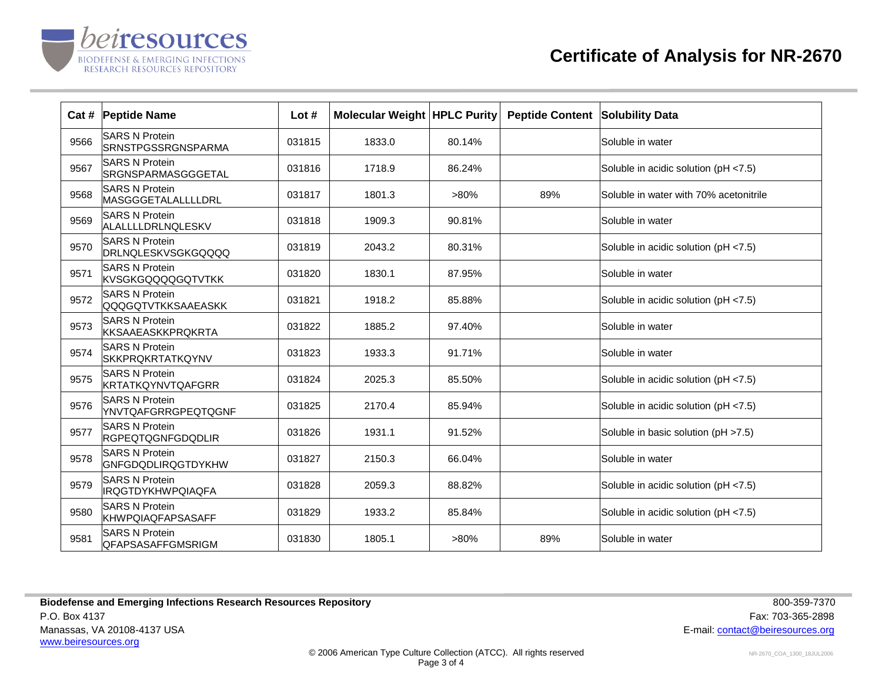

|      | Cat # Peptide Name                                 | Lot $#$ | <b>Molecular Weight   HPLC Purity</b> |         | <b>Peptide Content</b> | <b>Solubility Data</b>                 |
|------|----------------------------------------------------|---------|---------------------------------------|---------|------------------------|----------------------------------------|
| 9566 | <b>SARS N Protein</b><br><b>SRNSTPGSSRGNSPARMA</b> | 031815  | 1833.0                                | 80.14%  |                        | Soluble in water                       |
| 9567 | <b>SARS N Protein</b><br>SRGNSPARMASGGGETAL        | 031816  | 1718.9                                | 86.24%  |                        | Soluble in acidic solution (pH <7.5)   |
| 9568 | <b>SARS N Protein</b><br>MASGGGETALALLLLDRL        | 031817  | 1801.3                                | $>80\%$ | 89%                    | Soluble in water with 70% acetonitrile |
| 9569 | <b>SARS N Protein</b><br>ALALLLLDRLNQLESKV         | 031818  | 1909.3                                | 90.81%  |                        | Soluble in water                       |
| 9570 | <b>SARS N Protein</b><br><b>DRLNQLESKVSGKGQQQQ</b> | 031819  | 2043.2                                | 80.31%  |                        | Soluble in acidic solution (pH <7.5)   |
| 9571 | <b>SARS N Protein</b><br><b>KVSGKGQQQQGQTVTKK</b>  | 031820  | 1830.1                                | 87.95%  |                        | Soluble in water                       |
| 9572 | <b>SARS N Protein</b><br><b>QQQGQTVTKKSAAEASKK</b> | 031821  | 1918.2                                | 85.88%  |                        | Soluble in acidic solution (pH <7.5)   |
| 9573 | <b>SARS N Protein</b><br><b>KKSAAEASKKPRQKRTA</b>  | 031822  | 1885.2                                | 97.40%  |                        | Soluble in water                       |
| 9574 | <b>SARS N Protein</b><br><b>SKKPRQKRTATKQYNV</b>   | 031823  | 1933.3                                | 91.71%  |                        | Soluble in water                       |
| 9575 | <b>SARS N Protein</b><br>KRTATKQYNVTQAFGRR         | 031824  | 2025.3                                | 85.50%  |                        | Soluble in acidic solution (pH <7.5)   |
| 9576 | <b>SARS N Protein</b><br>YNVTQAFGRRGPEQTQGNF       | 031825  | 2170.4                                | 85.94%  |                        | Soluble in acidic solution (pH <7.5)   |
| 9577 | <b>SARS N Protein</b><br><b>RGPEQTQGNFGDQDLIR</b>  | 031826  | 1931.1                                | 91.52%  |                        | Soluble in basic solution (pH >7.5)    |
| 9578 | <b>SARS N Protein</b><br><b>GNFGDQDLIRQGTDYKHW</b> | 031827  | 2150.3                                | 66.04%  |                        | Soluble in water                       |
| 9579 | <b>SARS N Protein</b><br><b>IRQGTDYKHWPQIAQFA</b>  | 031828  | 2059.3                                | 88.82%  |                        | Soluble in acidic solution (pH <7.5)   |
| 9580 | <b>SARS N Protein</b><br><b>KHWPQIAQFAPSASAFF</b>  | 031829  | 1933.2                                | 85.84%  |                        | Soluble in acidic solution (pH <7.5)   |
| 9581 | <b>SARS N Protein</b><br><b>QFAPSASAFFGMSRIGM</b>  | 031830  | 1805.1                                | $>80\%$ | 89%                    | Soluble in water                       |